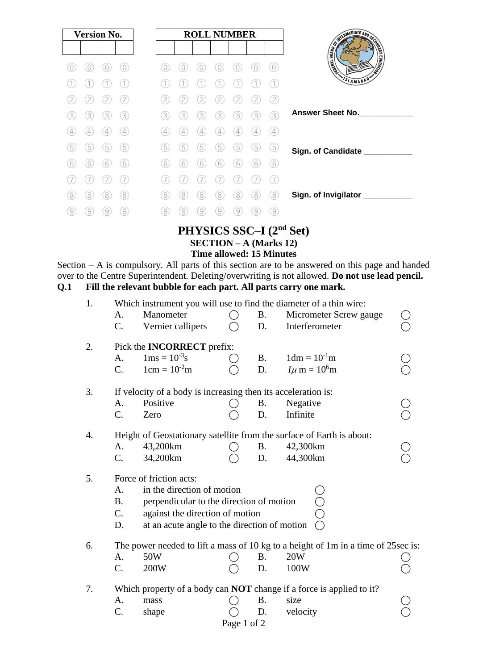| <b>Version No.</b> |                |             |                   |
|--------------------|----------------|-------------|-------------------|
|                    |                |             |                   |
|                    |                |             |                   |
|                    |                |             |                   |
|                    |                |             |                   |
| 3                  | 3.             | 3           | 3)                |
| 4                  | $\overline{4}$ | 4           | $\left( 4\right)$ |
| 5                  | 5              | $\boxed{5}$ | 5                 |
| 6                  | 6              | 6           | (6)               |
|                    |                |             |                   |
| 8                  | 8              | 8           | 8                 |
|                    |                |             | 9                 |

# **PHYSICS SSC–I (2nd Set) SECTION – A (Marks 12) Time allowed: 15 Minutes**

Section – A is compulsory. All parts of this section are to be answered on this page and handed over to the Centre Superintendent. Deleting/overwriting is not allowed. **Do not use lead pencil. Q.1 Fill the relevant bubble for each part. All parts carry one mark.**

| 1.                                                                  | A.<br>C.                                                                          | Manometer<br>Vernier callipers                    |  | <b>B.</b><br>D. | Which instrument you will use to find the diameter of a thin wire:<br>Micrometer Screw gauge<br>Interferometer |  |  |  |  |  |  |
|---------------------------------------------------------------------|-----------------------------------------------------------------------------------|---------------------------------------------------|--|-----------------|----------------------------------------------------------------------------------------------------------------|--|--|--|--|--|--|
| 2.                                                                  | Pick the <b>INCORRECT</b> prefix:<br>A.                                           | $1dm = 10-1m$                                     |  |                 |                                                                                                                |  |  |  |  |  |  |
|                                                                     | $C_{\cdot}$                                                                       | $1 \text{ms} = 10^{-3} \text{s}$<br>$1cm = 10-2m$ |  | <b>B.</b><br>D. | $I\mu$ m = $10^6$ m                                                                                            |  |  |  |  |  |  |
| 3.<br>If velocity of a body is increasing then its acceleration is: |                                                                                   |                                                   |  |                 |                                                                                                                |  |  |  |  |  |  |
|                                                                     | A.                                                                                | Positive                                          |  | <b>B.</b>       | Negative                                                                                                       |  |  |  |  |  |  |
|                                                                     | C.                                                                                | Zero                                              |  | D.              | Infinite                                                                                                       |  |  |  |  |  |  |
| 4.                                                                  |                                                                                   |                                                   |  |                 | Height of Geostationary satellite from the surface of Earth is about:                                          |  |  |  |  |  |  |
|                                                                     | A.                                                                                | 43,200km                                          |  | <b>B.</b>       | 42,300km                                                                                                       |  |  |  |  |  |  |
|                                                                     | C.                                                                                | 34,200km                                          |  | D.              | 44,300km                                                                                                       |  |  |  |  |  |  |
| Force of friction acts:<br>5.                                       |                                                                                   |                                                   |  |                 |                                                                                                                |  |  |  |  |  |  |
|                                                                     | A.                                                                                | in the direction of motion                        |  |                 |                                                                                                                |  |  |  |  |  |  |
|                                                                     | <b>B.</b>                                                                         | perpendicular to the direction of motion          |  |                 |                                                                                                                |  |  |  |  |  |  |
|                                                                     | C.                                                                                | against the direction of motion                   |  |                 |                                                                                                                |  |  |  |  |  |  |
|                                                                     | at an acute angle to the direction of motion<br>D.                                |                                                   |  |                 |                                                                                                                |  |  |  |  |  |  |
| 6.                                                                  | The power needed to lift a mass of 10 kg to a height of 1m in a time of 25sec is: |                                                   |  |                 |                                                                                                                |  |  |  |  |  |  |
|                                                                     | A.                                                                                | 50W                                               |  | <b>B.</b>       | 20W                                                                                                            |  |  |  |  |  |  |
|                                                                     | C.                                                                                | 200W                                              |  | D.              | 100W                                                                                                           |  |  |  |  |  |  |
| 7.                                                                  | Which property of a body can <b>NOT</b> change if a force is applied to it?       |                                                   |  |                 |                                                                                                                |  |  |  |  |  |  |
|                                                                     | A.                                                                                | mass                                              |  | <b>B.</b>       | size                                                                                                           |  |  |  |  |  |  |
|                                                                     | C.                                                                                | shape                                             |  | D.              | velocity                                                                                                       |  |  |  |  |  |  |
|                                                                     | Page 1 of 2                                                                       |                                                   |  |                 |                                                                                                                |  |  |  |  |  |  |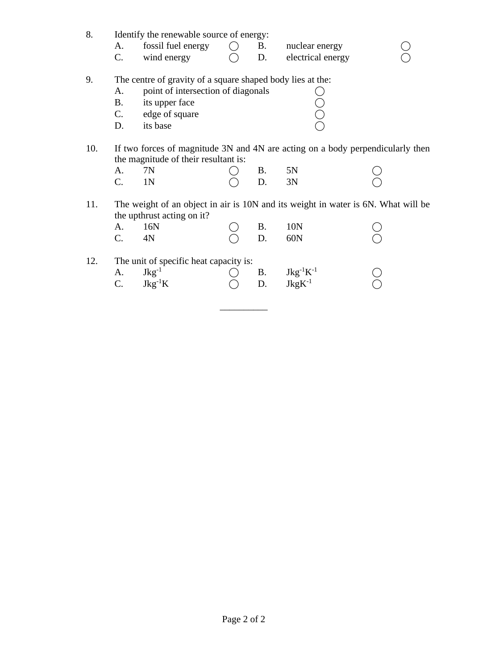| 8.  | A.<br>C.                             | Identify the renewable source of energy:<br>fossil fuel energy<br>wind energy                                                                    |  | <b>B.</b><br>D. | nuclear energy<br>electrical energy                                 |  |  |  |  |  |
|-----|--------------------------------------|--------------------------------------------------------------------------------------------------------------------------------------------------|--|-----------------|---------------------------------------------------------------------|--|--|--|--|--|
| 9.  | A.<br><b>B.</b><br>$C_{\cdot}$<br>D. | The centre of gravity of a square shaped body lies at the:<br>point of intersection of diagonals<br>its upper face<br>edge of square<br>its base |  |                 |                                                                     |  |  |  |  |  |
| 10. | A.<br>C.                             | If two forces of magnitude 3N and 4N are acting on a body perpendicularly then<br>the magnitude of their resultant is:<br>7N<br>1N               |  | В.<br>D.        | 5N<br>3N                                                            |  |  |  |  |  |
| 11. | A.<br>C.                             | The weight of an object in air is 10N and its weight in water is 6N. What will be<br>the upthrust acting on it?<br>16N<br>4N                     |  | <b>B.</b><br>D. | 10N<br>60N                                                          |  |  |  |  |  |
| 12. | A.<br>C.                             | The unit of specific heat capacity is:<br>$Jkg^{-1}$<br>$Jkg^{-1}K$                                                                              |  | B.<br>D.        | $\begin{array}{l} \rm{Jkg^{-1}K^{-1}}\\ \rm{JkgK^{-1}} \end{array}$ |  |  |  |  |  |

\_\_\_\_\_\_\_\_\_\_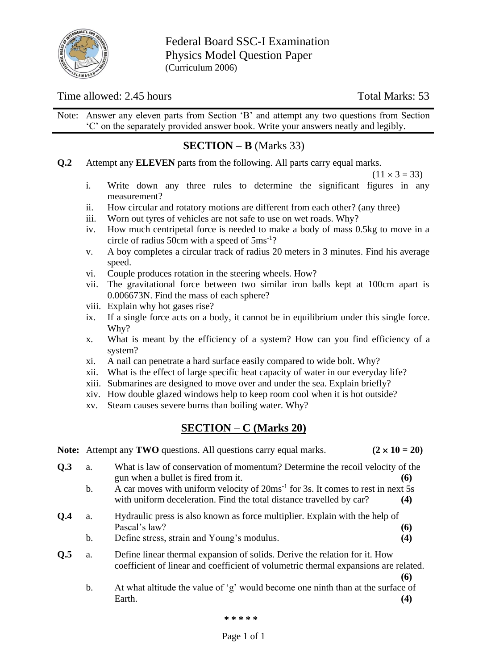

Federal Board SSC-I Examination Physics Model Question Paper (Curriculum 2006)

# Time allowed: 2.45 hours Total Marks: 53

Note: Answer any eleven parts from Section 'B' and attempt any two questions from Section 'C' on the separately provided answer book. Write your answers neatly and legibly.

# **SECTION – B** (Marks 33)

**Q.2** Attempt any **ELEVEN** parts from the following. All parts carry equal marks.

 $(11 \times 3 = 33)$ 

- i. Write down any three rules to determine the significant figures in any measurement?
- ii. How circular and rotatory motions are different from each other? (any three)
- iii. Worn out tyres of vehicles are not safe to use on wet roads. Why?
- iv. How much centripetal force is needed to make a body of mass 0.5kg to move in a circle of radius 50cm with a speed of 5ms-1 ?
- v. A boy completes a circular track of radius 20 meters in 3 minutes. Find his average speed.
- vi. Couple produces rotation in the steering wheels. How?
- vii. The gravitational force between two similar iron balls kept at 100cm apart is 0.006673N. Find the mass of each sphere?
- viii. Explain why hot gases rise?
- ix. If a single force acts on a body, it cannot be in equilibrium under this single force. Why?
- x. What is meant by the efficiency of a system? How can you find efficiency of a system?
- xi. A nail can penetrate a hard surface easily compared to wide bolt. Why?
- xii. What is the effect of large specific heat capacity of water in our everyday life?
- xiii. Submarines are designed to move over and under the sea. Explain briefly?
- xiv. How double glazed windows help to keep room cool when it is hot outside?
- xv. Steam causes severe burns than boiling water. Why?

# **SECTION – C (Marks 20)**

**Note:** Attempt any **TWO** questions. All questions carry equal marks.  $(2 \times 10 = 20)$ **Q.3** a. What is law of conservation of momentum? Determine the recoil velocity of the gun when a bullet is fired from it. **(6)** b. A car moves with uniform velocity of  $20 \text{ms}^{-1}$  for 3s. It comes to rest in next 5s with uniform deceleration. Find the total distance travelled by car? **(4) Q.4** a. Hydraulic press is also known as force multiplier. Explain with the help of Pascal's law? **(6)** b. Define stress, strain and Young's modulus. **(4) Q.5** a. Define linear thermal expansion of solids. Derive the relation for it. How coefficient of linear and coefficient of volumetric thermal expansions are related. **(6)** b. At what altitude the value of 'g' would become one ninth than at the surface of

**\* \* \* \* \***

Earth. **(4)**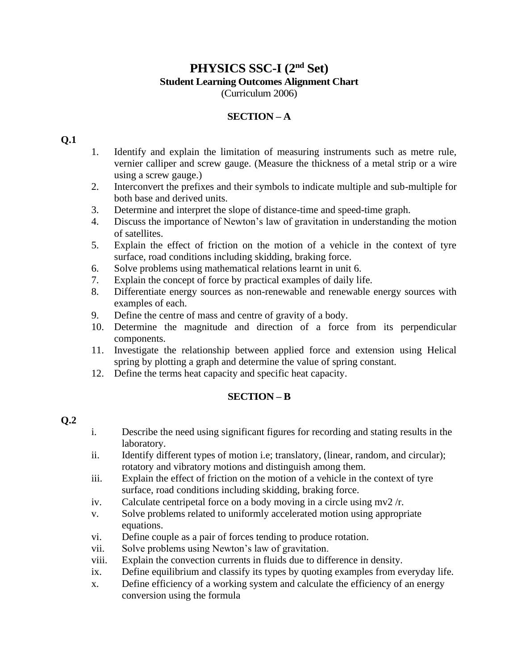## **PHYSICS SSC-I (2nd Set) Student Learning Outcomes Alignment Chart** (Curriculum 2006)

## **SECTION – A**

#### **Q.1**

- 1. Identify and explain the limitation of measuring instruments such as metre rule, vernier calliper and screw gauge. (Measure the thickness of a metal strip or a wire using a screw gauge.)
- 2. Interconvert the prefixes and their symbols to indicate multiple and sub-multiple for both base and derived units.
- 3. Determine and interpret the slope of distance-time and speed-time graph.
- 4. Discuss the importance of Newton's law of gravitation in understanding the motion of satellites.
- 5. Explain the effect of friction on the motion of a vehicle in the context of tyre surface, road conditions including skidding, braking force.
- 6. Solve problems using mathematical relations learnt in unit 6.
- 7. Explain the concept of force by practical examples of daily life.
- 8. Differentiate energy sources as non-renewable and renewable energy sources with examples of each.
- 9. Define the centre of mass and centre of gravity of a body.
- 10. Determine the magnitude and direction of a force from its perpendicular components.
- 11. Investigate the relationship between applied force and extension using Helical spring by plotting a graph and determine the value of spring constant.
- 12. Define the terms heat capacity and specific heat capacity.

## **SECTION – B**

## **Q.2**

- i. Describe the need using significant figures for recording and stating results in the laboratory.
- ii. Identify different types of motion i.e; translatory, (linear, random, and circular); rotatory and vibratory motions and distinguish among them.
- iii. Explain the effect of friction on the motion of a vehicle in the context of tyre surface, road conditions including skidding, braking force.
- iv. Calculate centripetal force on a body moving in a circle using  $mv^2/r$ .
- v. Solve problems related to uniformly accelerated motion using appropriate equations.
- vi. Define couple as a pair of forces tending to produce rotation.
- vii. Solve problems using Newton's law of gravitation.
- viii. Explain the convection currents in fluids due to difference in density.
- ix. Define equilibrium and classify its types by quoting examples from everyday life.
- x. Define efficiency of a working system and calculate the efficiency of an energy conversion using the formula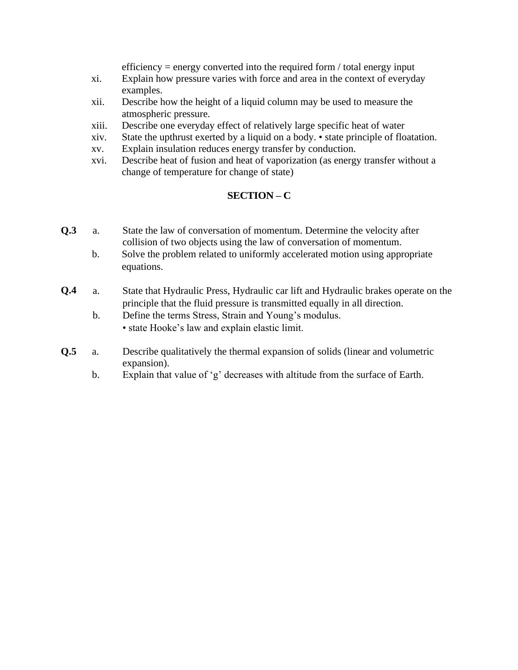efficiency  $=$  energy converted into the required form / total energy input

- xi. Explain how pressure varies with force and area in the context of everyday examples.
- xii. Describe how the height of a liquid column may be used to measure the atmospheric pressure.
- xiii. Describe one everyday effect of relatively large specific heat of water
- xiv. State the upthrust exerted by a liquid on a body. state principle of floatation.
- xv. Explain insulation reduces energy transfer by conduction.
- xvi. Describe heat of fusion and heat of vaporization (as energy transfer without a change of temperature for change of state)

## **SECTION – C**

- **Q.3** a. State the law of conversation of momentum. Determine the velocity after collision of two objects using the law of conversation of momentum.
	- b. Solve the problem related to uniformly accelerated motion using appropriate equations.
- **Q.4** a. State that Hydraulic Press, Hydraulic car lift and Hydraulic brakes operate on the principle that the fluid pressure is transmitted equally in all direction.
	- b. Define the terms Stress, Strain and Young's modulus. • state Hooke's law and explain elastic limit.
- **Q.5** a. Describe qualitatively the thermal expansion of solids (linear and volumetric expansion).
	- b. Explain that value of 'g' decreases with altitude from the surface of Earth.